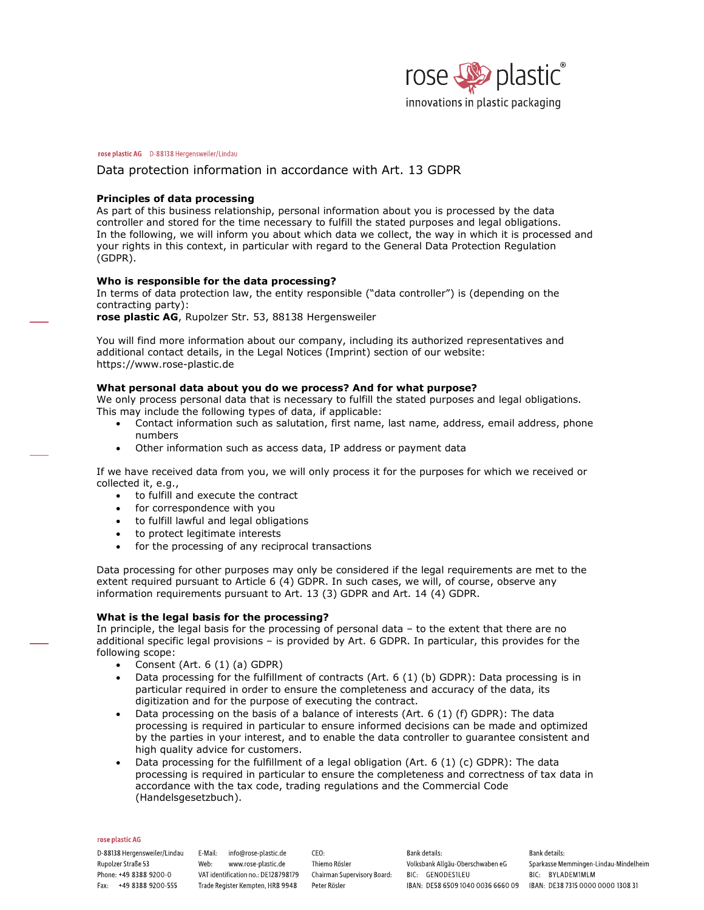

# Data protection information in accordance with Art. 13 GDPR

# **Principles of data processing**

As part of this business relationship, personal information about you is processed by the data controller and stored for the time necessary to fulfill the stated purposes and legal obligations. In the following, we will inform you about which data we collect, the way in which it is processed and your rights in this context, in particular with regard to the General Data Protection Regulation (GDPR).

# **Who is responsible for the data processing?**

In terms of data protection law, the entity responsible ("data controller") is (depending on the contracting party):

**rose plastic AG**, Rupolzer Str. 53, 88138 Hergensweiler

You will find more information about our company, including its authorized representatives and additional contact details, in the Legal Notices (Imprint) section of our website: <https://www.rose-plastic.de>

# **What personal data about you do we process? And for what purpose?**

We only process personal data that is necessary to fulfill the stated purposes and legal obligations. This may include the following types of data, if applicable:

- · Contact information such as salutation, first name, last name, address, email address, phone numbers
- Other information such as access data, IP address or payment data

If we have received data from you, we will only process it for the purposes for which we received or collected it, e.g.,

- · to fulfill and execute the contract
- for correspondence with you
- · to fulfill lawful and legal obligations
- to protect legitimate interests
- for the processing of any reciprocal transactions

Data processing for other purposes may only be considered if the legal requirements are met to the extent required pursuant to Article 6 (4) GDPR. In such cases, we will, of course, observe any information requirements pursuant to Art. 13 (3) GDPR and Art. 14 (4) GDPR.

# **What is the legal basis for the processing?**

In principle, the legal basis for the processing of personal data – to the extent that there are no additional specific legal provisions – is provided by Art. 6 GDPR. In particular, this provides for the following scope:

- · Consent (Art. 6 (1) (a) GDPR)
- Data processing for the fulfillment of contracts (Art. 6 (1) (b) GDPR): Data processing is in particular required in order to ensure the completeness and accuracy of the data, its digitization and for the purpose of executing the contract.
- Data processing on the basis of a balance of interests (Art. 6 (1) (f) GDPR): The data processing is required in particular to ensure informed decisions can be made and optimized by the parties in your interest, and to enable the data controller to guarantee consistent and high quality advice for customers.
- Data processing for the fulfillment of a legal obligation (Art. 6 (1) (c) GDPR): The data processing is required in particular to ensure the completeness and correctness of tax data in accordance with the tax code, trading regulations and the Commercial Code (Handelsgesetzbuch).

## rose plastic AG

D-88138 Hergensweiler/Lindau E-Mail: info@rose-plastic.de Rupolzer Straße 53 Phone: +49 8388 9200-0 Fax: +49 8388 9200-555

Web: www.rose-plastic.de VAT identification no.: DE128798179 Trade Register Kempten, HRB 9948

 $CFO-$ Thiemo Rösler Chairman Supervisory Board: BIC: GENODES1LEU Peter Rösler

Bank details: Volksbank Allgäu-Oberschwaben eG IBAN: DE58 6509 1040 0036 6660 09 IBAN: DE38 7315 0000 0000 1308 31

Bank details: Sparkasse Memmingen-Lindau-Mindelheim BIC: BYLADEM1MLM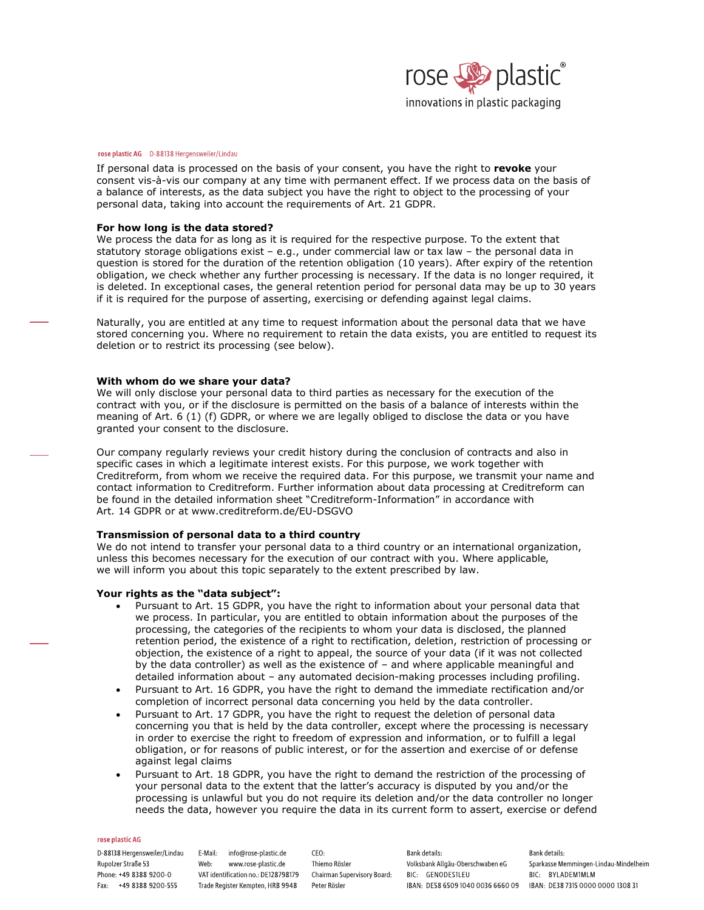

If personal data is processed on the basis of your consent, you have the right to **revoke** your consent vis-à-vis our company at any time with permanent effect. If we process data on the basis of a balance of interests, as the data subject you have the right to object to the processing of your personal data, taking into account the requirements of Art. 21 GDPR.

# **For how long is the data stored?**

We process the data for as long as it is required for the respective purpose. To the extent that statutory storage obligations exist – e.g., under commercial law or tax law – the personal data in question is stored for the duration of the retention obligation (10 years). After expiry of the retention obligation, we check whether any further processing is necessary. If the data is no longer required, it is deleted. In exceptional cases, the general retention period for personal data may be up to 30 years if it is required for the purpose of asserting, exercising or defending against legal claims.

Naturally, you are entitled at any time to request information about the personal data that we have stored concerning you. Where no requirement to retain the data exists, you are entitled to request its deletion or to restrict its processing (see below).

# **With whom do we share your data?**

We will only disclose your personal data to third parties as necessary for the execution of the contract with you, or if the disclosure is permitted on the basis of a balance of interests within the meaning of Art. 6 (1) (f) GDPR, or where we are legally obliged to disclose the data or you have granted your consent to the disclosure.

Our company regularly reviews your credit history during the conclusion of contracts and also in specific cases in which a legitimate interest exists. For this purpose, we work together with Creditreform, from whom we receive the required data. For this purpose, we transmit your name and contact information to Creditreform. Further information about data processing at Creditreform can be found in the detailed information sheet "Creditreform-Information" in accordance with Art. 14 GDPR or at <www.creditreform.de/EU-DSGVO>

# **Transmission of personal data to a third country**

We do not intend to transfer your personal data to a third country or an international organization, unless this becomes necessary for the execution of our contract with you. Where applicable, we will inform you about this topic separately to the extent prescribed by law.

# **Your rights as the "data subject":**

- Pursuant to Art. 15 GDPR, you have the right to information about your personal data that we process. In particular, you are entitled to obtain information about the purposes of the processing, the categories of the recipients to whom your data is disclosed, the planned retention period, the existence of a right to rectification, deletion, restriction of processing or objection, the existence of a right to appeal, the source of your data (if it was not collected by the data controller) as well as the existence of – and where applicable meaningful and detailed information about – any automated decision-making processes including profiling.
- · Pursuant to Art. 16 GDPR, you have the right to demand the immediate rectification and/or completion of incorrect personal data concerning you held by the data controller.
- Pursuant to Art. 17 GDPR, you have the right to request the deletion of personal data concerning you that is held by the data controller, except where the processing is necessary in order to exercise the right to freedom of expression and information, or to fulfill a legal obligation, or for reasons of public interest, or for the assertion and exercise of or defense against legal claims
- Pursuant to Art. 18 GDPR, you have the right to demand the restriction of the processing of your personal data to the extent that the latter's accuracy is disputed by you and/or the processing is unlawful but you do not require its deletion and/or the data controller no longer needs the data, however you require the data in its current form to assert, exercise or defend

## rose plastic AG

D-88138 Hergensweiler/Lindau E-Mail: info@rose-plastic.de Rupolzer Straße 53 Phone: +49 8388 9200-0 Fax: +49 8388 9200-555

Web: www.rose-plastic.de VAT identification no.: DE128798179 Chairman Supervisory Board: BIC: GENODES1LEU Trade Register Kempten, HRB 9948

 $CFO-$ Thiemo Rösler Peter Rösler

Bank details: Volksbank Allgäu-Oberschwaben eG

Bank details: Sparkasse Memmingen-Lindau-Mindelheim BIC: BYLADEM1MLM IBAN: DE58 6509 1040 0036 6660 09 IBAN: DE38 7315 0000 0000 1308 31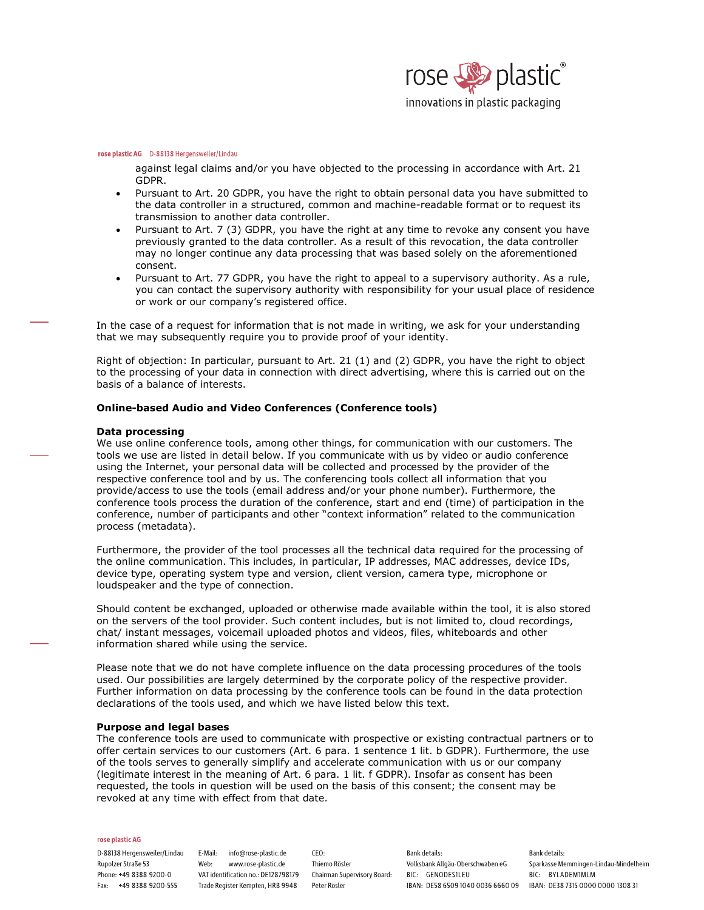

against legal claims and/or you have objected to the processing in accordance with Art. 21 GDPR.

- · Pursuant to Art. 20 GDPR, you have the right to obtain personal data you have submitted to the data controller in a structured, common and machine-readable format or to request its transmission to another data controller.
- Pursuant to Art. 7 (3) GDPR, you have the right at any time to revoke any consent you have previously granted to the data controller. As a result of this revocation, the data controller may no longer continue any data processing that was based solely on the aforementioned consent.
- Pursuant to Art. 77 GDPR, you have the right to appeal to a supervisory authority. As a rule, you can contact the supervisory authority with responsibility for your usual place of residence or work or our company's registered office.

In the case of a request for information that is not made in writing, we ask for your understanding that we may subsequently require you to provide proof of your identity.

Right of objection: In particular, pursuant to Art. 21 (1) and (2) GDPR, you have the right to object to the processing of your data in connection with direct advertising, where this is carried out on the basis of a balance of interests.

# **Online-based Audio and Video Conferences (Conference tools)**

## **Data processing**

We use online conference tools, among other things, for communication with our customers. The tools we use are listed in detail below. If you communicate with us by video or audio conference using the Internet, your personal data will be collected and processed by the provider of the respective conference tool and by us. The conferencing tools collect all information that you provide/access to use the tools (email address and/or your phone number). Furthermore, the conference tools process the duration of the conference, start and end (time) of participation in the conference, number of participants and other "context information" related to the communication process (metadata).

Furthermore, the provider of the tool processes all the technical data required for the processing of the online communication. This includes, in particular, IP addresses, MAC addresses, device IDs, device type, operating system type and version, client version, camera type, microphone or loudspeaker and the type of connection.

Should content be exchanged, uploaded or otherwise made available within the tool, it is also stored on the servers of the tool provider. Such content includes, but is not limited to, cloud recordings, chat/ instant messages, voicemail uploaded photos and videos, files, whiteboards and other information shared while using the service.

Please note that we do not have complete influence on the data processing procedures of the tools used. Our possibilities are largely determined by the corporate policy of the respective provider. Further information on data processing by the conference tools can be found in the data protection declarations of the tools used, and which we have listed below this text.

# **Purpose and legal bases**

The conference tools are used to communicate with prospective or existing contractual partners or to offer certain services to our customers (Art. 6 para. 1 sentence 1 lit. b GDPR). Furthermore, the use of the tools serves to generally simplify and accelerate communication with us or our company (legitimate interest in the meaning of Art. 6 para. 1 lit. f GDPR). Insofar as consent has been requested, the tools in question will be used on the basis of this consent; the consent may be revoked at any time with effect from that date.

#### rose plastic AG

D-88138 Hergensweiler/Lindau E-Mail: info@rose-plastic.de Rupolzer Straße 53 Phone: +49 8388 9200-0 Fax: +49 8388 9200-555

Web: www.rose-plastic.de VAT identification no.: DE128798179 Trade Register Kempten, HRB 9948

 $CFO.$ Thiemo Rösler Chairman Supervisory Board: BIC: GENODES1LEU Peter Rösler

Bank details: Volksbank Allgäu-Oberschwaben eG

Bank details: Sparkasse Memmingen-Lindau-Mindelheim BIC: BYLADEM1MLM IBAN: DE58 6509 1040 0036 6660 09 IBAN: DE38 7315 0000 0000 1308 31